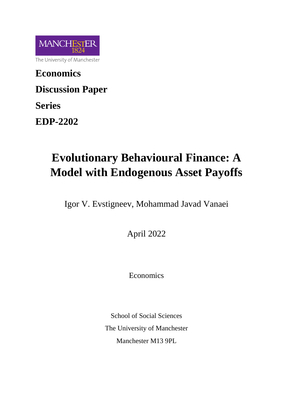

**Economics Discussion Paper Series**

**EDP-2202**

# **Evolutionary Behavioural Finance: A Model with Endogenous Asset Payoffs**

Igor V. Evstigneev, Mohammad Javad Vanaei

April 2022

Economics

School of Social Sciences The University of Manchester Manchester M13 9PL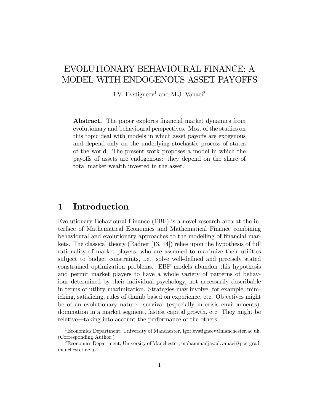## EVOLUTIONARY BEHAVIOURAL FINANCE: A MODEL WITH ENDOGENOUS ASSET PAYOFFS

I.V. Evstigneev<sup>1</sup> and M.J. Vanaei<sup>2</sup>

**Abstract.** The paper explores financial market dynamics from evolutionary and behavioural perspectives. Most of the studies on this topic deal with models in which asset payoffs are exogenous and depend only on the underlying stochastic process of states of the world. The present work proposes a model in which the payoffs of assets are endogenous: they depend on the share of total market wealth invested in the asset.

#### 1 Introduction

Evolutionary Behavioural Finance (EBF) is a novel research area at the interface of Mathematical Economics and Mathematical Finance combining behavioural and evolutionary approaches to the modelling of financial markets. The classical theory (Radner [13, 14]) relies upon the hypothesis of full rationality of market players, who are assumed to maximize their utilities subject to budget constraints, i.e. solve well-defined and precisely stated constrained optimization problems. EBF models abandon this hypothesis and permit market players to have a whole variety of patterns of behaviour determined by their individual psychology, not necessarily describable in terms of utility maximization. Strategies may involve, for example, mimicking, satisficing, rules of thumb based on experience, etc. Objectives might be of an evolutionary nature: survival (especially in crisis environments), domination in a market segment, fastest capital growth, etc. They might be relative—taking into account the performance of the others.

<sup>1</sup>Economics Department, University of Manchester, igor.evstigneev@manchester.ac.uk. (Corresponding Author.)

<sup>&</sup>lt;sup>2</sup>Economics Department, University of Manchester, mohammadjavad.vanaei@postgrad. manchester.ac.uk.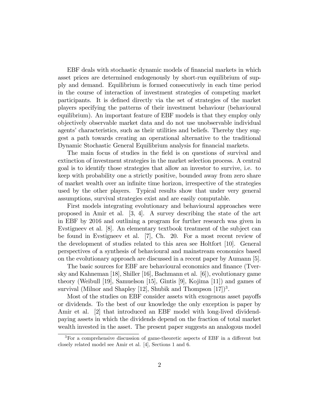EBF deals with stochastic dynamic models of financial markets in which asset prices are determined endogenously by short-run equilibrium of supply and demand. Equilibrium is formed consecutively in each time period in the course of interaction of investment strategies of competing market participants. It is defined directly via the set of strategies of the market players specifying the patterns of their investment behaviour (behavioural equilibrium). An important feature of EBF models is that they employ only objectively observable market data and do not use unobservable individual agents' characteristics, such as their utilities and beliefs. Thereby they suggest a path towards creating an operational alternative to the traditional Dynamic Stochastic General Equilibrium analysis for financial markets.

The main focus of studies in the field is on questions of survival and extinction of investment strategies in the market selection process. A central goal is to identify those strategies that allow an investor to survive, i.e. to keep with probability one a strictly positive, bounded away from zero share of market wealth over an infinite time horizon, irrespective of the strategies used by the other players. Typical results show that under very general assumptions, survival strategies exist and are easily computable.

First models integrating evolutionary and behavioural approaches were proposed in Amir et al. [3, 4]. A survey describing the state of the art in EBF by 2016 and outlining a program for further research was given in Evstigneev et al. [8]. An elementary textbook treatment of the subject can be found in Evstigneev et al. [7], Ch. 20. For a most recent review of the development of studies related to this area see Holtfort [10]. General perspectives of a synthesis of behavioural and mainstream economics based on the evolutionary approach are discussed in a recent paper by Aumann [5].

The basic sources for EBF are behavioural economics and finance (Tversky and Kahneman [18], Shiller [16], Bachmann et al. [6]), evolutionary game theory (Weibull [19], Samuelson [15], Gintis [9], Kojima [11]) and games of survival (Milnor and Shapley [12], Shubik and Thompson  $[17]$ <sup>3</sup>.

Most of the studies on EBF consider assets with exogenous asset payoffs or dividends. To the best of our knowledge the only exception is paper by Amir et al. [2] that introduced an EBF model with long-lived dividendpaying assets in which the dividends depend on the fraction of total market wealth invested in the asset. The present paper suggests an analogous model

 $3$ For a comprehensive discussion of game-theoretic aspects of EBF in a different but closely related model see Amir et al. [4], Sections 1 and 6.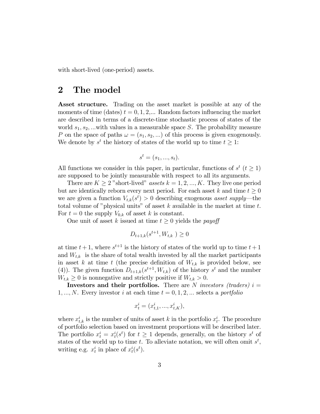with short-lived (one-period) assets.

### 2 The model

Asset structure. Trading on the asset market is possible at any of the moments of time (dates)  $t = 0, 1, 2,...$  Random factors influencing the market are described in terms of a discrete-time stochastic process of states of the world  $s_1, s_2, ...$  with values in a measurable space S. The probability measure P on the space of paths  $\omega = (s_1, s_2, ...)$  of this process is given exogenously. We denote by  $s^t$  the history of states of the world up to time  $t \geq 1$ :

$$
s^t = (s_1, \ldots, s_t).
$$

All functions we consider in this paper, in particular, functions of  $s^t$  ( $t \ge 1$ ) are supposed to be jointly measurable with respect to all its arguments.

There are  $K \geq 2$  "short-lived" assets  $k = 1, 2, ..., K$ . They live one period but are identically reborn every next period. For each asset k and time  $t \geq 0$ we are given a function  $V_{t,k}(s^t) > 0$  describing exogenous *asset supply*—the total volume of "physical units" of asset  $k$  available in the market at time  $t$ . For  $t = 0$  the supply  $V_{0,k}$  of asset k is constant.

One unit of asset k issued at time  $t \geq 0$  yields the *payoff* 

$$
D_{t+1,k}(s^{t+1}, W_{t,k}) \ge 0
$$

at time  $t + 1$ , where  $s^{t+1}$  is the history of states of the world up to time  $t + 1$ and  $W_{t,k}$  is the share of total wealth invested by all the market participants in asset k at time t (the precise definition of  $W_{t,k}$  is provided below, see (4)). The given function  $D_{t+1,k}(s^{t+1}, W_{t,k})$  of the history  $s^t$  and the number  $W_{t,k} \geq 0$  is nonnegative and strictly positive if  $W_{t,k} > 0$ .

**Investors and their portfolios.** There are N investors (traders)  $i =$  $1, ..., N$ . Every investor i at each time  $t = 0, 1, 2, ...$  selects a portfolio

$$
x_t^i = (x_{t,1}^i, ..., x_{t,K}^i),
$$

where  $x_{t,k}^i$  is the number of units of asset k in the portfolio  $x_t^i$ . The procedure of portfolio selection based on investment proportions will be described later. The portfolio  $x_t^i = x_t^i(s^t)$  for  $t \ge 1$  depends, generally, on the history  $s^t$  of states of the world up to time t. To alleviate notation, we will often omit  $s^t$ , writing e.g.  $x_t^i$  in place of  $x_t^i(s^t)$ .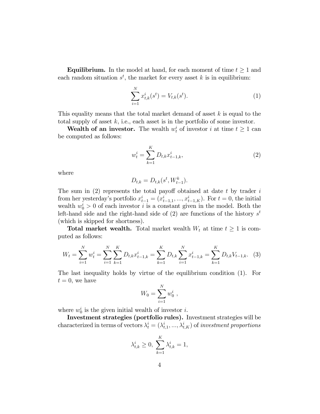**Equilibrium.** In the model at hand, for each moment of time  $t \geq 1$  and each random situation  $s^t$ , the market for every asset k is in equilibrium:

$$
\sum_{i=1}^{N} x_{t,k}^{i}(s^{t}) = V_{t,k}(s^{t}).
$$
\n(1)

This equality means that the total market demand of asset  $k$  is equal to the total supply of asset  $k$ , i.e., each asset is in the portfolio of some investor.

**Wealth of an investor.** The wealth  $w_t^i$  of investor i at time  $t \geq 1$  can be computed as follows:

$$
w_t^i = \sum_{k=1}^K D_{t,k} x_{t-1,k}^i,
$$
\n(2)

where

$$
D_{t,k} = D_{t,k}(s^t, W_{t-1}^k).
$$

The sum in  $(2)$  represents the total payoff obtained at date t by trader i from her yesterday's portfolio  $x_{t-1}^i = (x_{t-1,1}^i, ..., x_{t-1,K}^i)$ . For  $t = 0$ , the initial wealth  $w_0^i > 0$  of each investor i is a constant given in the model. Both the left-hand side and the right-hand side of  $(2)$  are functions of the history  $s<sup>t</sup>$ (which is skipped for shortness).

**Total market wealth.** Total market wealth  $W_t$  at time  $t \geq 1$  is computed as follows:

$$
W_t = \sum_{i=1}^{N} w_t^i = \sum_{i=1}^{N} \sum_{k=1}^{K} D_{t,k} x_{t-1,k}^i = \sum_{k=1}^{K} D_{t,k} \sum_{i=1}^{N} x_{t-1,k}^i = \sum_{k=1}^{K} D_{t,k} V_{t-1,k}.
$$
 (3)

The last inequality holds by virtue of the equilibrium condition (1). For  $t = 0$ , we have

$$
W_0 = \sum_{i=1}^N w_0^i ,
$$

where  $w_0^i$  is the given initial wealth of investor *i*.

Investment strategies (portfolio rules). Investment strategies will be characterized in terms of vectors  $\lambda_t^i = (\lambda_{t,1}^i, ..., \lambda_{t,K}^i)$  of investment proportions

$$
\lambda_{t,k}^i \ge 0, \sum_{k=1}^K \lambda_{t,k}^i = 1,
$$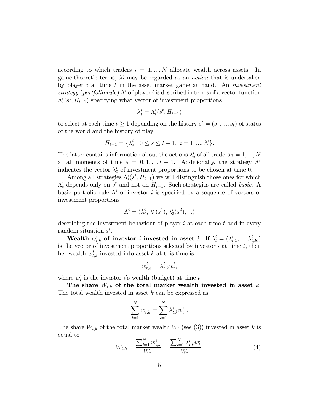according to which traders  $i = 1, ..., N$  allocate wealth across assets. In game-theoretic terms,  $\lambda_t^i$  may be regarded as an *action* that is undertaken by player  $i$  at time  $t$  in the asset market game at hand. An *investment* strategy (portfolio rule)  $\Lambda^i$  of player i is described in terms of a vector function  $\Lambda_t^i(s^t, H_{t-1})$  specifying what vector of investment proportions

$$
\lambda_t^i = \Lambda_t^i(s^t, H_{t-1})
$$

to select at each time  $t \geq 1$  depending on the history  $s^t = (s_1, ..., s_t)$  of states of the world and the history of play

$$
H_{t-1} = \{\lambda_s^i : 0 \le s \le t-1, \ i = 1, ..., N\}.
$$

The latter contains information about the actions  $\lambda_s^i$  of all traders  $i = 1, ..., N$ at all moments of time  $s = 0, 1, ..., t - 1$ . Additionally, the strategy  $\Lambda^i$ indicates the vector  $\lambda_0^i$  of investment proportions to be chosen at time 0.

Among all strategies  $\Lambda_t^i(s^t, H_{t-1})$  we will distinguish those ones for which  $\Lambda_t^i$  depends only on  $s^t$  and not on  $H_{t-1}$ . Such strategies are called *basic*. A basic portfolio rule  $\Lambda^i$  of investor i is specified by a sequence of vectors of investment proportions

$$
\Lambda^i=(\lambda^i_0,\lambda^i_1(s^1),\lambda^i_2(s^2),...)
$$

describing the investment behaviour of player  $i$  at each time  $t$  and in every random situation  $s^t$ .

Wealth  $w_{t,k}^i$  of investor i invested in asset k. If  $\lambda_t^i = (\lambda_{t,1}^i, ..., \lambda_{t,K}^i)$ is the vector of investment proportions selected by investor  $i$  at time  $t$ , then her wealth  $w_{t,k}^i$  invested into asset k at this time is

$$
w_{t,k}^i = \lambda_{t,k}^i w_t^i,
$$

where  $w_t^i$  is the investor *i*'s wealth (budget) at time *t*.

The share  $W_{t,k}$  of the total market wealth invested in asset k. The total wealth invested in asset  $k$  can be expressed as

$$
\sum_{i=1}^{N} w_{t,k}^{i} = \sum_{i=1}^{N} \lambda_{t,k}^{i} w_{t}^{i} .
$$

The share  $W_{t,k}$  of the total market wealth  $W_t$  (see (3)) invested in asset k is equal to

$$
W_{t,k} = \frac{\sum_{i=1}^{N} w_{t,k}^i}{W_t} = \frac{\sum_{i=1}^{N} \lambda_{t,k}^i w_t^i}{W_t}.
$$
 (4)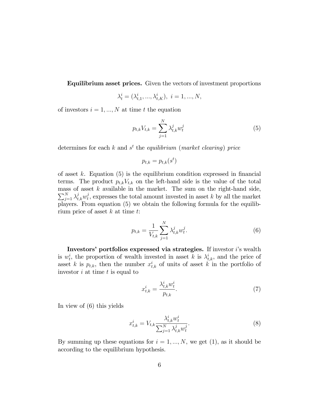Equilibrium asset prices. Given the vectors of investment proportions

$$
\lambda_t^i = (\lambda_{t,1}^i, ..., \lambda_{t,K}^i), \ i = 1, ..., N,
$$

of investors  $i = 1, ..., N$  at time t the equation

$$
p_{t,k}V_{t,k} = \sum_{j=1}^{N} \lambda_{t,k}^{j} w_t^{j}
$$
 (5)

determines for each  $k$  and  $s<sup>t</sup>$  the *equilibrium* (*market clearing*) price

$$
p_{t,k} = p_{t,k}(s^t)
$$

of asset k. Equation  $(5)$  is the equilibrium condition expressed in financial terms. The product  $p_{t,k}V_{t,k}$  on the left-hand side is the value of the total mass of asset  $k$  available in the market. The sum on the right-hand side,  $\sum_{j=1}^N \lambda_{t,k}^j w_t^j$  $t<sub>t</sub>$ , expresses the total amount invested in asset k by all the market players. From equation (5) we obtain the following formula for the equilibrium price of asset  $k$  at time  $t$ :

$$
p_{t,k} = \frac{1}{V_{t,k}} \sum_{j=1}^{N} \lambda_{t,k}^{j} w_t^{j}.
$$
 (6)

Investors' portfolios expressed via strategies. If investor i's wealth is  $w_t^i$ , the proportion of wealth invested in asset k is  $\lambda_{t,k}^i$ , and the price of asset k is  $p_{t,k}$ , then the number  $x_{t,k}^i$  of units of asset k in the portfolio of investor  $i$  at time  $t$  is equal to

$$
x_{t,k}^i = \frac{\lambda_{t,k}^i w_t^i}{p_{t,k}}.\tag{7}
$$

In view of (6) this yields

$$
x_{t,k}^i = V_{t,k} \frac{\lambda_{t,k}^i w_t^i}{\sum_{j=1}^N \lambda_{t,k}^j w_t^j}.
$$
\n
$$
(8)
$$

By summing up these equations for  $i = 1, ..., N$ , we get (1), as it should be according to the equilibrium hypothesis.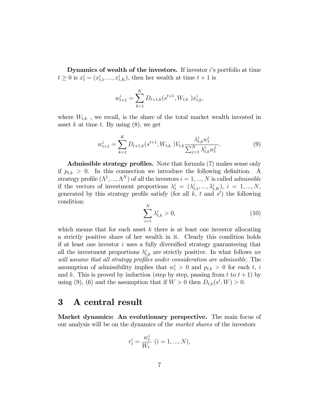**Dynamics of wealth of the investors.** If investor  $i$ 's portfolio at time  $t \ge 0$  is  $x_t^i = (x_{t,1}^i, ..., x_{t,K}^i)$ , then her wealth at time  $t + 1$  is

$$
w_{t+1}^i = \sum_{k=1}^K D_{t+1,k}(s^{t+1}, W_{t,k}) x_{t,k}^i,
$$

where  $W_{t,k}$ , we recall, is the share of the total market wealth invested in asset k at time t. By using  $(8)$ , we get

$$
w_{t+1}^i = \sum_{k=1}^K D_{t+1,k}(s^{t+1}, W_{t,k}) V_{t,k} \frac{\lambda_{t,k}^i w_t^i}{\sum_{j=1}^N \lambda_{t,k}^j w_t^j}.
$$
 (9)

Admissible strategy profiles. Note that formula (7) makes sense only if  $p_{t,k} > 0$ . In this connection we introduce the following definition. A strategy profile  $(\Lambda^1, ..., \Lambda^N)$  of all the investors  $i = 1, ..., N$  is called *admissible* if the vectors of investment proportions  $\lambda_t^i = (\lambda_{t,1}^i, ..., \lambda_{t,K}^i), i = 1, ..., N$ , generated by this strategy profile satisfy (for all  $k$ , t and  $s<sup>t</sup>$ ) the following condition:

$$
\sum_{i=1}^{N} \lambda_{t,k}^{i} > 0,
$$
\n(10)

which means that for each asset  $k$  there is at least one investor allocating a strictly positive share of her wealth in it. Clearly this condition holds if at least one investor  $i$  uses a fully diversified strategy guaranteeing that all the investment proportions  $\lambda_{t,k}^i$  are strictly positive. In what follows we will assume that all strategy profiles under consideration are admissible. The assumption of admissibility implies that  $w_t^i > 0$  and  $p_{t,k} > 0$  for each t, i and k. This is proved by induction (step by step, passing from t to  $t + 1$ ) by using (9), (6) and the assumption that if  $W > 0$  then  $D_{t,k}(s^t, W) > 0$ .

### 3 A central result

Market dynamics: An evolutionary perspective. The main focus of our analysis will be on the dynamics of the market shares of the investors

$$
r_t^i = \frac{w_t^i}{W_t} \ (i = 1, ..., N),
$$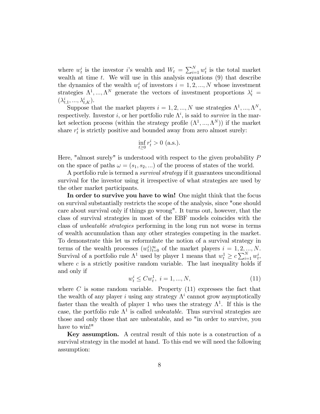where  $w_t^i$  is the investor *i*'s wealth and  $W_t = \sum_{i=1}^N w_t^i$  is the total market wealth at time  $t$ . We will use in this analysis equations  $(9)$  that describe the dynamics of the wealth  $w_t^i$  of investors  $i = 1, 2, ..., N$  whose investment strategies  $\Lambda^1, ..., \Lambda^N$  generate the vectors of investment proportions  $\lambda_t^i$  =  $(\lambda_{t,1}^i,...,\lambda_{t,K}^i).$ 

Suppose that the market players  $i = 1, 2, ..., N$  use strategies  $\Lambda^1, ..., \Lambda^N$ , respectively. Investor *i*, or her portfolio rule  $\Lambda^i$ , is said to *survive* in the market selection process (within the strategy profile  $(\Lambda^1, ..., \Lambda^N)$ ) if the market share  $r_t^i$  is strictly positive and bounded away from zero almost surely:

$$
\inf_{t \ge 0} r_t^i > 0 \text{ (a.s.).}
$$

Here, "almost surely" is understood with respect to the given probability P on the space of paths  $\omega = (s_1, s_2, ...)$  of the process of states of the world.

A portfolio rule is termed a survival strategy if it guarantees unconditional survival for the investor using it irrespective of what strategies are used by the other market participants.

In order to survive you have to win! One might think that the focus on survival substantially restricts the scope of the analysis, since "one should care about survival only if things go wrong". It turns out, however, that the class of survival strategies in most of the EBF models coincides with the class of unbeatable strategies performing in the long run not worse in terms of wealth accumulation than any other strategies competing in the market. To demonstrate this let us reformulate the notion of a survival strategy in terms of the wealth processes  $(w_t^i)_{t=0}^{\infty}$  of the market players  $i = 1, 2, ..., N$ . Survival of a portfolio rule  $\Lambda^1$  used by player 1 means that  $w_t^1 \ge c \sum_{i=1}^N w_t^i$ , where  $c$  is a strictly positive random variable. The last inequality holds if and only if

$$
w_t^i \le C w_t^1, \ i = 1, ..., N,
$$
\n(11)

where  $C$  is some random variable. Property  $(11)$  expresses the fact that the wealth of any player i using any strategy  $\Lambda^i$  cannot grow asymptotically faster than the wealth of player 1 who uses the strategy  $\Lambda^1$ . If this is the case, the portfolio rule  $\Lambda^1$  is called *unbeatable*. Thus survival strategies are those and only those that are unbeatable, and so "in order to survive, you have to win!"

Key assumption. A central result of this note is a construction of a survival strategy in the model at hand. To this end we will need the following assumption: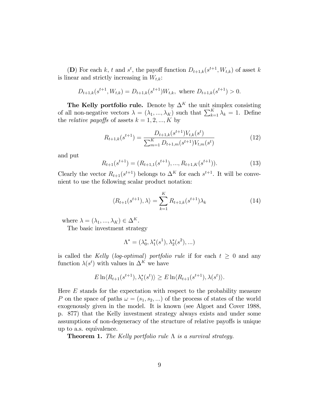(D) For each k, t and  $s^t$ , the payoff function  $D_{t+1,k}(s^{t+1}, W_{t,k})$  of asset k is linear and strictly increasing in  $W_{t,k}$ :

$$
D_{t+1,k}(s^{t+1}, W_{t,k}) = D_{t+1,k}(s^{t+1})W_{t,k}, \text{ where } D_{t+1,k}(s^{t+1}) > 0.
$$

The Kelly portfolio rule. Denote by  $\Delta^K$  the unit simplex consisting of all non-negative vectors  $\lambda = (\lambda_1, ..., \lambda_K)$  such that  $\sum_{k=1}^K \lambda_k = 1$ . Define the *relative payoffs* of assets  $k = 1, 2, ..., K$  by

$$
R_{t+1,k}(s^{t+1}) = \frac{D_{t+1,k}(s^{t+1})V_{t,k}(s^t)}{\sum_{m=1}^K D_{t+1,m}(s^{t+1})V_{t,m}(s^t)}
$$
(12)

and put

$$
R_{t+1}(s^{t+1}) = (R_{t+1,1}(s^{t+1}), \dots, R_{t+1,K}(s^{t+1})).
$$
\n(13)

Clearly the vector  $R_{t+1}(s^{t+1})$  belongs to  $\Delta^K$  for each  $s^{t+1}$ . It will be convenient to use the following scalar product notation:

$$
\langle R_{t+1}(s^{t+1}), \lambda \rangle = \sum_{k=1}^{K} R_{t+1,k}(s^{t+1}) \lambda_k \tag{14}
$$

where  $\lambda = (\lambda_1, ..., \lambda_K) \in \Delta^K$ .

The basic investment strategy

$$
\Lambda^*=(\lambda_0^*,\lambda_1^*(s^1),\lambda_2^*(s^2),\ldots)
$$

is called the Kelly (log-optimal) portfolio rule if for each  $t \geq 0$  and any function  $\lambda(s^t)$  with values in  $\Delta^K$  we have

$$
E\ln\langle R_{t+1}(s^{t+1}),\lambda_t^*(s^t)\rangle \ge E\ln\langle R_{t+1}(s^{t+1}),\lambda(s^t)\rangle.
$$

Here  $E$  stands for the expectation with respect to the probability measure P on the space of paths  $\omega = (s_1, s_2, ...)$  of the process of states of the world exogenously given in the model. It is known (see Algoet and Cover 1988, p. 877) that the Kelly investment strategy always exists and under some assumptions of non-degeneracy of the structure of relative payoffs is unique up to a.s. equivalence.

**Theorem 1.** The Kelly portfolio rule  $\Lambda$  is a survival strategy.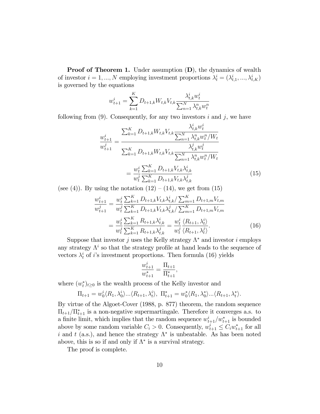**Proof of Theorem 1.** Under assumption  $(D)$ , the dynamics of wealth of investor  $i = 1, ..., N$  employing investment proportions  $\lambda_t^i = (\lambda_{t,1}^i, ..., \lambda_{t,K}^i)$ is governed by the equations

$$
w_{t+1}^i = \sum_{k=1}^K D_{t+1,k} W_{t,k} V_{t,k} \frac{\lambda_{t,k}^i w_t^i}{\sum_{n=1}^N \lambda_{t,k}^n w_t^n}
$$

following from  $(9)$ . Consequently, for any two investors i and j, we have

$$
\frac{w_{t+1}^{i}}{w_{t+1}^{j}} = \frac{\sum_{k=1}^{K} D_{t+1,k} W_{t,k} V_{t,k} \frac{\lambda_{t,k}^{i} w_{t}^{i}}{\sum_{n=1}^{N} \lambda_{t,k}^{n} w_{t}^{n}/W_{t}}}{\sum_{k=1}^{K} D_{t+1,k} W_{t,k} V_{t,k} \frac{\lambda_{t,k}^{j} w_{t}^{j}}{\sum_{n=1}^{N} \lambda_{t,k}^{n} w_{t}^{n}/W_{t}}}
$$
\n
$$
= \frac{w_{t}^{i} \sum_{k=1}^{K} D_{t+1,k} V_{t,k} \lambda_{t,k}^{i}}{w_{t}^{j} \sum_{k=1}^{K} D_{t+1,k} V_{t,k} \lambda_{t,k}^{j}}
$$
\n(15)

(see (4)). By using the notation  $(12) - (14)$ , we get from  $(15)$ 

$$
\frac{w_{t+1}^{i}}{w_{t+1}^{j}} = \frac{w_{t}^{i} \sum_{k=1}^{K} D_{t+1,k} V_{t,k} \lambda_{t,k}^{i} / \sum_{m=1}^{K} D_{t+1,m} V_{t,m}}{w_{t+1}^{j} \sum_{k=1}^{K} D_{t+1,k} V_{t,k} \lambda_{t,k}^{j} / \sum_{m=1}^{K} D_{t+1,m} V_{t,m}}
$$
\n
$$
= \frac{w_{t}^{i} \sum_{k=1}^{K} R_{t+1,k} \lambda_{t,k}^{i}}{w_{t}^{j} \sum_{k=1}^{K} R_{t+1,k} \lambda_{t,k}^{j}} = \frac{w_{t}^{i} \langle R_{t+1}, \lambda_{t}^{i} \rangle}{w_{t}^{j} \langle R_{t+1}, \lambda_{t}^{j} \rangle}.
$$
\n(16)

Suppose that investor j uses the Kelly strategy  $\Lambda^*$  and investor i employs any strategy  $\Lambda^i$  so that the strategy profile at hand leads to the sequence of vectors  $\lambda_t^i$  of *i*'s investment proportions. Then formula (16) yields

$$
\frac{w_{t+1}^i}{w_{t+1}^*} = \frac{\Pi_{t+1}}{\Pi_{t+1}^*},
$$

where  $(w_t^*)_{t\geq 0}$  is the wealth process of the Kelly investor and

$$
\Pi_{t+1} = w_0^i \langle R_1, \lambda_0^i \rangle \dots \langle R_{t+1}, \lambda_t^i \rangle, \ \Pi_{t+1}^* = w_0^* \langle R_1, \lambda_0^* \rangle \dots \langle R_{t+1}, \lambda_t^* \rangle.
$$

By virtue of the Algoet-Cover (1988, p. 877) theorem, the random sequence  $\Pi_{t+1}/\Pi_{t+1}^*$  is a non-negative supermartingale. Therefore it converges a.s. to a finite limit, which implies that the random sequence  $w_{t+1}^i/w_{t+1}^*$  is bounded above by some random variable  $C_i > 0$ . Consequently,  $w_{t+1}^i \leq C_i w_{t+1}^*$  for all i and t (a.s.), and hence the strategy  $\Lambda^*$  is unbeatable. As has been noted above, this is so if and only if  $\Lambda^*$  is a survival strategy.

The proof is complete.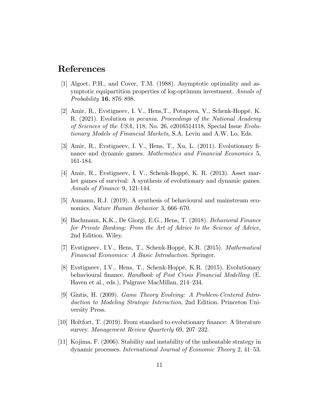### References

- [1] Algoet, P.H., and Cover, T.M. (1988). Asymptotic optimality and asymptotic equipartition properties of log-optimum investment. Annals of *Probability* **16**, 876–898.
- [2] Amir, R., Evstigneev, I. V., Hens, T., Potapova, V., Schenk-Hoppé, K. R. (2021). Evolution in pecunia. Proceedings of the National Academy of Sciences of the USA, 118, No. 26, e2016514118, Special Issue Evolutionary Models of Financial Markets, S.A. Levin and A.W. Lo, Eds.
- [3] Amir, R., Evstigneev, I. V., Hens, T., Xu, L. (2011). Evolutionary Önance and dynamic games. Mathematics and Financial Economics 5, 161-184.
- [4] Amir, R., Evstigneev, I. V., Schenk-Hoppé, K. R. (2013). Asset market games of survival: A synthesis of evolutionary and dynamic games. Annals of Finance 9, 121-144.
- [5] Aumann, R.J. (2019). A synthesis of behavioural and mainstream economics. Nature Human Behavior 3, 666–670.
- [6] Bachmann, K.K., De Giorgi, E.G., Hens, T. (2018). Behavioral Finance for Private Banking: From the Art of Advice to the Science of Advice, 2nd Edition. Wiley.
- [7] Evstigneev, I.V., Hens, T., Schenk-HoppÈ, K.R. (2015). Mathematical Financial Economics: A Basic Introduction. Springer.
- [8] Evstigneev, I.V., Hens, T., Schenk-Hoppé, K.R. (2015). Evolutionary behavioural finance. Handbook of Post Crisis Financial Modelling (E. Haven et al., eds.), Palgrave MacMillan,  $214-234$ .
- [9] Gintis, H. (2009). Game Theory Evolving: A Problem-Centered Introduction to Modeling Strategic Interaction, 2nd Edition. Princeton University Press.
- $[10]$  Holtfort, T. (2019). From standard to evolutionary finance: A literature survey. Management Review Quarterly  $69, 207-232$ .
- [11] Kojima, F. (2006). Stability and instability of the unbeatable strategy in dynamic processes. International Journal of Economic Theory  $2, 41-53$ .